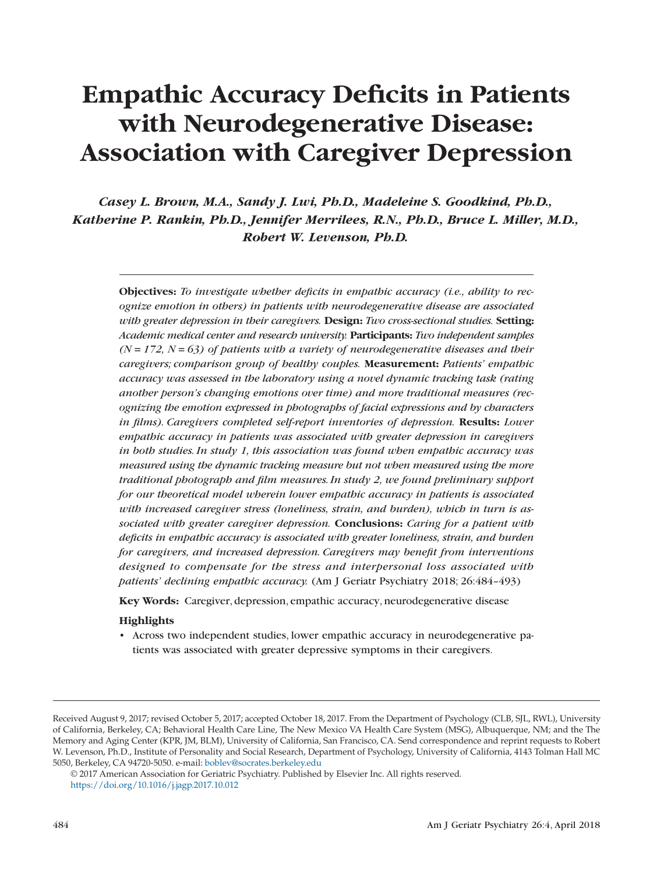# **Empathic Accuracy Deficits in Patients with Neurodegenerative Disease: Association with Caregiver Depression**

*Casey L. Brown, M.A., Sandy J. Lwi, Ph.D., Madeleine S. Goodkind, Ph.D., Katherine P. Rankin, Ph.D., Jennifer Merrilees, R.N., Ph.D., Bruce L. Miller, M.D., Robert W. Levenson, Ph.D.*

**Objectives:** *To investigate whether deficits in empathic accuracy (i.e., ability to recognize emotion in others) in patients with neurodegenerative disease are associated with greater depression in their caregivers.* **Design:** *Two cross-sectional studies.* **Setting:** *Academic medical center and research university.* **Participants:** *Two independent samples*  $(N = 172, N = 63)$  of patients with a variety of neurodegenerative diseases and their *caregivers; comparison group of healthy couples.* **Measurement:** *Patients' empathic accuracy was assessed in the laboratory using a novel dynamic tracking task (rating another person's changing emotions over time) and more traditional measures (recognizing the emotion expressed in photographs of facial expressions and by characters in films). Caregivers completed self-report inventories of depression.* **Results:** *Lower empathic accuracy in patients was associated with greater depression in caregivers in both studies. In study 1, this association was found when empathic accuracy was measured using the dynamic tracking measure but not when measured using the more traditional photograph and film measures. In study 2, we found preliminary support for our theoretical model wherein lower empathic accuracy in patients is associated with increased caregiver stress (loneliness, strain, and burden), which in turn is associated with greater caregiver depression.* **Conclusions:** *Caring for a patient with deficits in empathic accuracy is associated with greater loneliness, strain, and burden for caregivers, and increased depression. Caregivers may benefit from interventions designed to compensate for the stress and interpersonal loss associated with patients' declining empathic accuracy.* (Am J Geriatr Psychiatry 2018; 26:484–493)

**Key Words:** Caregiver, depression, empathic accuracy, neurodegenerative disease

#### **Highlights**

• Across two independent studies, lower empathic accuracy in neurodegenerative patients was associated with greater depressive symptoms in their caregivers.

Received August 9, 2017; revised October 5, 2017; accepted October 18, 2017. From the Department of Psychology (CLB, SJL, RWL), University of California, Berkeley, CA; Behavioral Health Care Line, The New Mexico VA Health Care System (MSG), Albuquerque, NM; and the The Memory and Aging Center (KPR, JM, BLM), University of California, San Francisco, CA. Send correspondence and reprint requests to Robert W. Levenson, Ph.D., Institute of Personality and Social Research, Department of Psychology, University of California, 4143 Tolman Hall MC 5050, Berkeley, CA 94720-5050. e-mail: [boblev@socrates.berkeley.edu](mailto:boblev@socrates.berkeley.edu)

<sup>© 2017</sup> American Association for Geriatric Psychiatry. Published by Elsevier Inc. All rights reserved. https://doi.org/10.1016/j.jagp.2017.10.012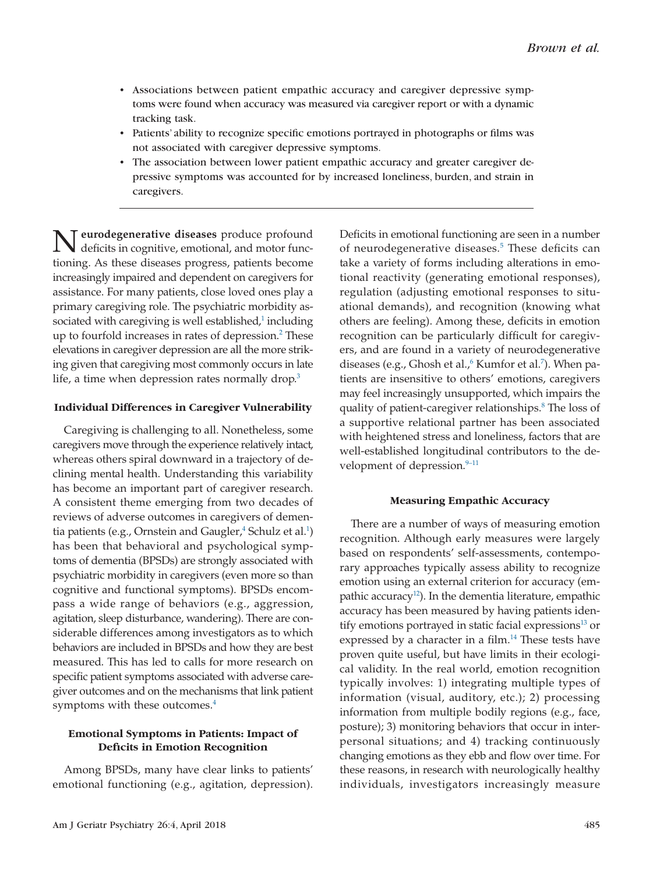- Associations between patient empathic accuracy and caregiver depressive symptoms were found when accuracy was measured via caregiver report or with a dynamic tracking task.
- Patients' ability to recognize specific emotions portrayed in photographs or films was not associated with caregiver depressive symptoms.
- The association between lower patient empathic accuracy and greater caregiver depressive symptoms was accounted for by increased loneliness, burden, and strain in caregivers.

**N** eurodegenerative diseases produce profound<br>deficits in cognitive, emotional, and motor functioning. As these diseases progress, patients become increasingly impaired and dependent on caregivers for assistance. For many patients, close loved ones play a primary caregiving role. The psychiatric morbidity associated with caregiving is well established, $1$  including up to fourfold increases in rates of depression.<sup>2</sup> These elevations in caregiver depression are all the more striking given that caregiving most commonly occurs in late life, a time when depression rates normally drop.<sup>3</sup>

# **Individual Differences in Caregiver Vulnerability**

Caregiving is challenging to all. Nonetheless, some caregivers move through the experience relatively intact, whereas others spiral downward in a trajectory of declining mental health. Understanding this variability has become an important part of caregiver research. A consistent theme emerging from two decades of reviews of adverse outcomes in caregivers of dementia patients (e.g., Ornstein and Gaugler, $^{\text{4}}$  Schulz et al. $^{\text{1)}}$ has been that behavioral and psychological symptoms of dementia (BPSDs) are strongly associated with psychiatric morbidity in caregivers (even more so than cognitive and functional symptoms). BPSDs encompass a wide range of behaviors (e.g., aggression, agitation, sleep disturbance, wandering). There are considerable differences among investigators as to which behaviors are included in BPSDs and how they are best measured. This has led to calls for more research on specific patient symptoms associated with adverse caregiver outcomes and on the mechanisms that link patient symptoms with these outcomes.<sup>4</sup>

# **Emotional Symptoms in Patients: Impact of Deficits in Emotion Recognition**

Among BPSDs, many have clear links to patients' emotional functioning (e.g., agitation, depression). Deficits in emotional functioning are seen in a number of neurodegenerative diseases.<sup>5</sup> These deficits can take a variety of forms including alterations in emotional reactivity (generating emotional responses), regulation (adjusting emotional responses to situational demands), and recognition (knowing what others are feeling). Among these, deficits in emotion recognition can be particularly difficult for caregivers, and are found in a variety of neurodegenerative diseases (e.g., Ghosh et al.,<sup>6</sup> Kumfor et al.<sup>7</sup>). When patients are insensitive to others' emotions, caregivers may feel increasingly unsupported, which impairs the quality of patient-caregiver relationships.<sup>8</sup> The loss of a supportive relational partner has been associated with heightened stress and loneliness, factors that are well-established longitudinal contributors to the development of depression.<sup>9-11</sup>

#### **Measuring Empathic Accuracy**

There are a number of ways of measuring emotion recognition. Although early measures were largely based on respondents' self-assessments, contemporary approaches typically assess ability to recognize emotion using an external criterion for accuracy (empathic accuracy<sup>12</sup>). In the dementia literature, empathic accuracy has been measured by having patients identify emotions portrayed in static facial expressions $^{13}$  or expressed by a character in a film.<sup>14</sup> These tests have proven quite useful, but have limits in their ecological validity. In the real world, emotion recognition typically involves: 1) integrating multiple types of information (visual, auditory, etc.); 2) processing information from multiple bodily regions (e.g., face, posture); 3) monitoring behaviors that occur in interpersonal situations; and 4) tracking continuously changing emotions as they ebb and flow over time. For these reasons, in research with neurologically healthy individuals, investigators increasingly measure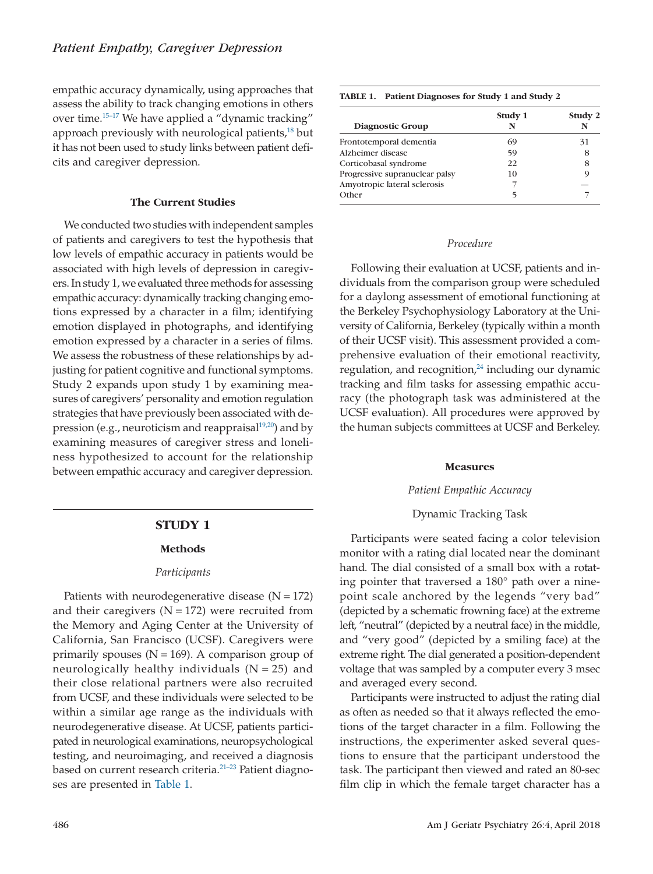<span id="page-2-0"></span>empathic accuracy dynamically, using approaches that assess the ability to track changing emotions in others over time[.15–17](#page-8-12) We have applied a "dynamic tracking" approach previously with neurological patients, $^{18}$  but it has not been used to study links between patient deficits and caregiver depression.

# **The Current Studies**

We conducted two studies with independent samples of patients and caregivers to test the hypothesis that low levels of empathic accuracy in patients would be associated with high levels of depression in caregivers. In study 1, we evaluated three methods for assessing empathic accuracy: dynamically tracking changing emotions expressed by a character in a film; identifying emotion displayed in photographs, and identifying emotion expressed by a character in a series of films. We assess the robustness of these relationships by adjusting for patient cognitive and functional symptoms. Study 2 expands upon study 1 by examining measures of caregivers' personality and emotion regulation strategies that have previously been associated with depression (e.g., neuroticism and reappraisal $19,20$ ) and by examining measures of caregiver stress and loneliness hypothesized to account for the relationship between empathic accuracy and caregiver depression.

#### **STUDY 1**

#### **Methods**

#### *Participants*

Patients with neurodegenerative disease  $(N = 172)$ and their caregivers  $(N = 172)$  were recruited from the Memory and Aging Center at the University of California, San Francisco (UCSF). Caregivers were primarily spouses ( $N = 169$ ). A comparison group of neurologically healthy individuals  $(N = 25)$  and their close relational partners were also recruited from UCSF, and these individuals were selected to be within a similar age range as the individuals with neurodegenerative disease. At UCSF, patients participated in neurological examinations, neuropsychological testing, and neuroimaging, and received a diagnosis based on current research criteria.<sup>21-23</sup> Patient diagnoses are presented in Table 1.

| TABLE 1, PAUCHI DIAGNOSES FOR SUGGY 1 AND SUGGY 4 |         |              |  |
|---------------------------------------------------|---------|--------------|--|
| Diagnostic Group                                  | Study 1 | Study 2<br>N |  |
| Frontotemporal dementia                           | 69      | 31           |  |
| Alzheimer disease                                 | 59      | 8            |  |
| Corticobasal syndrome                             | 22.     | 8            |  |
| Progressive supranuclear palsy                    | 10      | 9            |  |
| Amyotropic lateral sclerosis                      |         |              |  |
| Other                                             |         |              |  |

**TABLE 1. Patient Diagnoses for Study 1 and Study 2**

#### *Procedure*

Following their evaluation at UCSF, patients and individuals from the comparison group were scheduled for a daylong assessment of emotional functioning at the Berkeley Psychophysiology Laboratory at the University of California, Berkeley (typically within a month of their UCSF visit). This assessment provided a comprehensive evaluation of their emotional reactivity, regulation, and recognition, $24$  including our dynamic tracking and film tasks for assessing empathic accuracy (the photograph task was administered at the UCSF evaluation). All procedures were approved by the human subjects committees at UCSF and Berkeley.

#### **Measures**

# *Patient Empathic Accuracy*

#### Dynamic Tracking Task

Participants were seated facing a color television monitor with a rating dial located near the dominant hand. The dial consisted of a small box with a rotating pointer that traversed a 180° path over a ninepoint scale anchored by the legends "very bad" (depicted by a schematic frowning face) at the extreme left, "neutral" (depicted by a neutral face) in the middle, and "very good" (depicted by a smiling face) at the extreme right. The dial generated a position-dependent voltage that was sampled by a computer every 3 msec and averaged every second.

Participants were instructed to adjust the rating dial as often as needed so that it always reflected the emotions of the target character in a film. Following the instructions, the experimenter asked several questions to ensure that the participant understood the task. The participant then viewed and rated an 80-sec film clip in which the female target character has a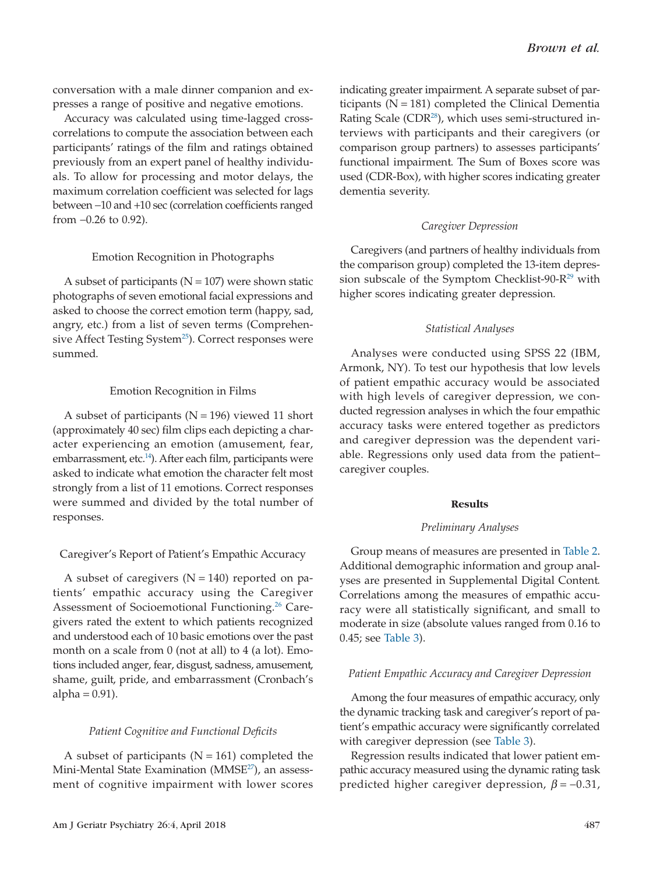conversation with a male dinner companion and expresses a range of positive and negative emotions.

Accuracy was calculated using time-lagged crosscorrelations to compute the association between each participants' ratings of the film and ratings obtained previously from an expert panel of healthy individuals. To allow for processing and motor delays, the maximum correlation coefficient was selected for lags between −10 and +10 sec (correlation coefficients ranged from −0.26 to 0.92).

#### Emotion Recognition in Photographs

A subset of participants ( $N = 107$ ) were shown static photographs of seven emotional facial expressions and asked to choose the correct emotion term (happy, sad, angry, etc.) from a list of seven terms (Comprehensive Affect Testing System<sup>25</sup>). Correct responses were summed.

# Emotion Recognition in Films

A subset of participants ( $N = 196$ ) viewed 11 short (approximately 40 sec) film clips each depicting a character experiencing an emotion (amusement, fear, embarrassment, etc.<sup>14</sup>). After each film, participants were asked to indicate what emotion the character felt most strongly from a list of 11 emotions. Correct responses were summed and divided by the total number of responses.

# Caregiver's Report of Patient's Empathic Accuracy

A subset of caregivers  $(N = 140)$  reported on patients' empathic accuracy using the Caregiver Assessment of Socioemotional Functioning.<sup>26</sup> Caregivers rated the extent to which patients recognized and understood each of 10 basic emotions over the past month on a scale from 0 (not at all) to 4 (a lot). Emotions included anger, fear, disgust, sadness, amusement, shame, guilt, pride, and embarrassment (Cronbach's alpha  $= 0.91$ ).

#### *Patient Cognitive and Functional Deficits*

A subset of participants ( $N = 161$ ) completed the Mini-Mental State Examination (MMSE<sup>27</sup>), an assessment of cognitive impairment with lower scores indicating greater impairment. A separate subset of participants ( $N = 181$ ) completed the Clinical Dementia Rating Scale (CDR<sup>28</sup>), which uses semi-structured interviews with participants and their caregivers (or comparison group partners) to assesses participants' functional impairment. The Sum of Boxes score was used (CDR-Box), with higher scores indicating greater dementia severity.

# *Caregiver Depression*

Caregivers (and partners of healthy individuals from the comparison group) completed the 13-item depression subscale of the Symptom Checklist-90- $R^{29}$  with higher scores indicating greater depression.

# *Statistical Analyses*

Analyses were conducted using SPSS 22 (IBM, Armonk, NY). To test our hypothesis that low levels of patient empathic accuracy would be associated with high levels of caregiver depression, we conducted regression analyses in which the four empathic accuracy tasks were entered together as predictors and caregiver depression was the dependent variable. Regressions only used data from the patient– caregiver couples.

#### **Results**

#### *Preliminary Analyses*

Group means of measures are presented in [Table 2.](#page-4-0) Additional demographic information and group analyses are presented in Supplemental Digital Content. Correlations among the measures of empathic accuracy were all statistically significant, and small to moderate in size (absolute values ranged from 0.16 to 0.45; see [Table 3\)](#page-4-0).

#### *Patient Empathic Accuracy and Caregiver Depression*

Among the four measures of empathic accuracy, only the dynamic tracking task and caregiver's report of patient's empathic accuracy were significantly correlated with caregiver depression (see [Table 3\)](#page-4-0).

Regression results indicated that lower patient empathic accuracy measured using the dynamic rating task predicted higher caregiver depression, *β* = −0.31,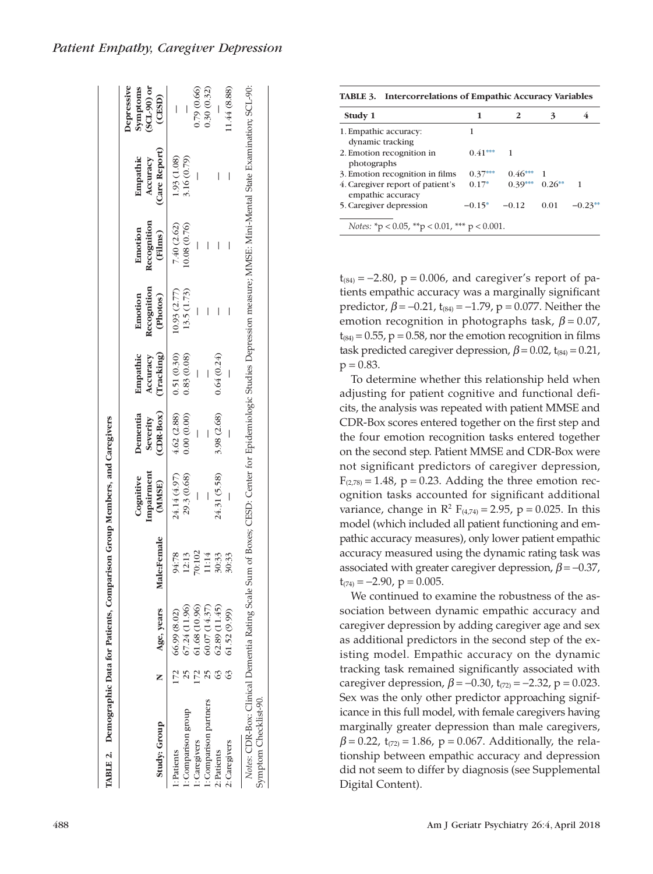|                       |                    |             |                                   |                                   |                                    |                                    |                                   |                                       | Depressive                              |
|-----------------------|--------------------|-------------|-----------------------------------|-----------------------------------|------------------------------------|------------------------------------|-----------------------------------|---------------------------------------|-----------------------------------------|
| Study: Group          | Age, years         | Male:Female | Cognitive<br>Impairment<br>(MMSE) | Dementia<br>(CDR-Box)<br>Severity | Empathic<br>(Tracking)<br>Accuracy | Recognition<br>Emotion<br>(Photos) | Recognition<br>(Films)<br>Emotion | (Care Report)<br>Empathic<br>Accuracy | $\rm (SCL-90)$ or<br>symptoms<br>(CESD) |
| :Patients             | $172$ 66.99 (8.02) | 94:78       | 24.14 (4.97)                      | 4.62(2.88)                        | 0.51(0.30)                         | 10.93 (2.77)                       | 7.40 (2.62)                       | 1.93 (1.08)                           |                                         |
| : Comparison group    | 67.24 (11.96)      | 12:13       | 29.3 (0.68)                       | 0.00(0.00)                        | 0.83(0.08)                         | 13.5 (1.73)                        | 0.08(0.76)                        | 3.16 (0.79)                           |                                         |
| : Caregivers          | 61.68 (10.96)      | 70:102      |                                   |                                   |                                    |                                    |                                   |                                       | 0.79(0.66)                              |
| : Comparison partners | 60.07(14.37)       | 11:14       |                                   |                                   |                                    |                                    | $\overline{\phantom{a}}$          |                                       | 0.30(0.32)                              |
| 2: Patients           | 62.89 (11.45)      | 30:33       | 24.31 (5.58)                      | 3.98 (2.68)                       | 0.64(0.24)                         |                                    |                                   | I                                     |                                         |
| 2: Caregivers         | 61.52(9.99)        | 30:33       |                                   |                                   |                                    |                                    |                                   | I                                     | 1.44 (8.88)                             |

<span id="page-4-0"></span>

| Patient Empathy, Caregiver Depression |  |  |
|---------------------------------------|--|--|
|---------------------------------------|--|--|

**TABLE 3. Intercorrelations of Empathic Accuracy Variables**

| Study 1                                               | 1         |           |          |           |
|-------------------------------------------------------|-----------|-----------|----------|-----------|
| 1. Empathic accuracy:<br>dynamic tracking             |           |           |          |           |
| 2. Emotion recognition in<br>photographs              | $0.41***$ |           |          |           |
| 3. Emotion recognition in films                       | $0.37***$ | $0.46***$ |          |           |
| 4. Caregiver report of patient's<br>empathic accuracy | $0.17*$   | $0.39***$ | $0.26**$ |           |
| 5. Caregiver depression                               | $-0.15*$  | $-0.12$   | 0.01     | $-0.23**$ |
| Notes: *p < 0.05, **p < 0.01, *** p < 0.001.          |           |           |          |           |

 $t_{(84)} = -2.80$ , p = 0.006, and caregiver's report of patients empathic accuracy was a marginally significant predictor,  $\beta$  = -0.21, t<sub>(84)</sub> = -1.79, p = 0.077. Neither the emotion recognition in photographs task, *β* = 0.07,  $t_{(84)} = 0.55$ ,  $p = 0.58$ , nor the emotion recognition in films task predicted caregiver depression,  $\beta$  = 0.02, t<sub>(84)</sub> = 0.21,  $p = 0.83$ .

To determine whether this relationship held when adjusting for patient cognitive and functional deficits, the analysis was repeated with patient MMSE and CDR-Box scores entered together on the first step and the four emotion recognition tasks entered together on the second step. Patient MMSE and CDR-Box were not significant predictors of caregiver depression,  $F<sub>(2,78)</sub> = 1.48$ ,  $p = 0.23$ . Adding the three emotion recognition tasks accounted for significant additional variance, change in  $R^2$  F<sub>(4,74)</sub> = 2.95, p = 0.025. In this model (which included all patient functioning and empathic accuracy measures), only lower patient empathic accuracy measured using the dynamic rating task was associated with greater caregiver depression,  $\beta$  = -0.37,  $t_{(74)} = -2.90$ ,  $p = 0.005$ .

We continued to examine the robustness of the association between dynamic empathic accuracy and caregiver depression by adding caregiver age and sex as additional predictors in the second step of the existing model. Empathic accuracy on the dynamic tracking task remained significantly associated with caregiver depression,  $\beta = -0.30$ , t<sub>(72)</sub> =  $-2.32$ , p = 0.023. Sex was the only other predictor approaching significance in this full model, with female caregivers having marginally greater depression than male caregivers,  $\beta$  = 0.22, t<sub>(72)</sub> = 1.86, p = 0.067. Additionally, the relationship between empathic accuracy and depression did not seem to differ by diagnosis (see Supplemental Digital Content).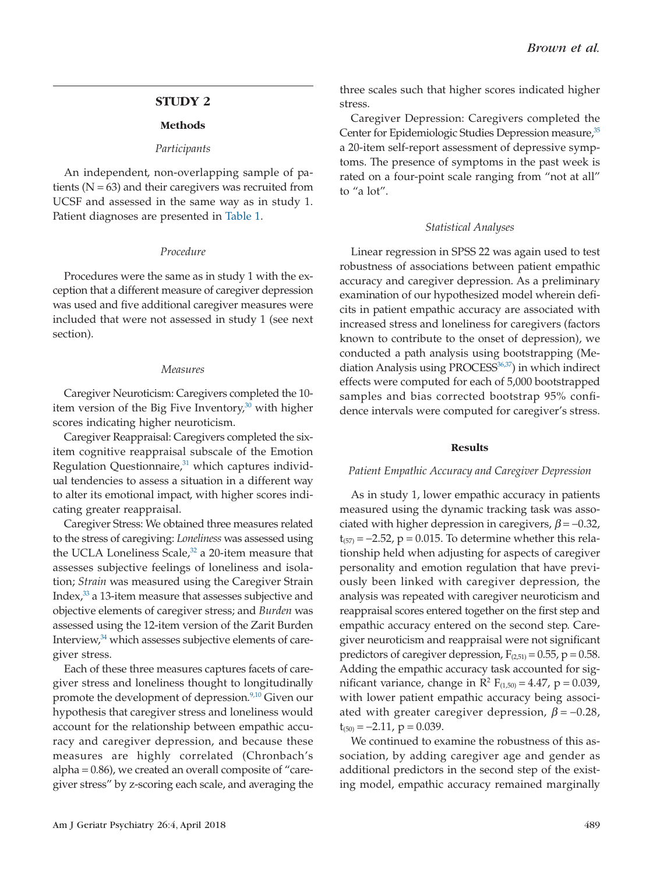# **STUDY 2**

#### **Methods**

#### *Participants*

An independent, non-overlapping sample of patients  $(N = 63)$  and their caregivers was recruited from UCSF and assessed in the same way as in study 1. Patient diagnoses are presented in [Table 1.](#page-2-0)

#### *Procedure*

Procedures were the same as in study 1 with the exception that a different measure of caregiver depression was used and five additional caregiver measures were included that were not assessed in study 1 (see next section).

#### *Measures*

Caregiver Neuroticism: Caregivers completed the 10 item version of the Big Five Inventory, $30$  with higher scores indicating higher neuroticism.

Caregiver Reappraisal: Caregivers completed the sixitem cognitive reappraisal subscale of the Emotion Regulation Questionnaire, $31$  which captures individual tendencies to assess a situation in a different way to alter its emotional impact, with higher scores indicating greater reappraisal.

Caregiver Stress: We obtained three measures related to the stress of caregiving: *Loneliness* was assessed using the UCLA Loneliness Scale,<sup>32</sup> a 20-item measure that assesses subjective feelings of loneliness and isolation; *Strain* was measured using the Caregiver Strain Index[,33](#page-9-6) a 13-item measure that assesses subjective and objective elements of caregiver stress; and *Burden* was assessed using the 12-item version of the Zarit Burden Interview, $34$  which assesses subjective elements of caregiver stress.

Each of these three measures captures facets of caregiver stress and loneliness thought to longitudinally promote the development of depression.<sup>9,10</sup> Given our hypothesis that caregiver stress and loneliness would account for the relationship between empathic accuracy and caregiver depression, and because these measures are highly correlated (Chronbach's alpha = 0.86), we created an overall composite of "caregiver stress" by z-scoring each scale, and averaging the three scales such that higher scores indicated higher stress.

Caregiver Depression: Caregivers completed the Center for Epidemiologic Studies Depression measure,<sup>35</sup> a 20-item self-report assessment of depressive symptoms. The presence of symptoms in the past week is rated on a four-point scale ranging from "not at all" to "a lot".

#### *Statistical Analyses*

Linear regression in SPSS 22 was again used to test robustness of associations between patient empathic accuracy and caregiver depression. As a preliminary examination of our hypothesized model wherein deficits in patient empathic accuracy are associated with increased stress and loneliness for caregivers (factors known to contribute to the onset of depression), we conducted a path analysis using bootstrapping (Mediation Analysis using PROCESS<sup>36,37</sup>) in which indirect effects were computed for each of 5,000 bootstrapped samples and bias corrected bootstrap 95% confidence intervals were computed for caregiver's stress.

#### **Results**

#### *Patient Empathic Accuracy and Caregiver Depression*

As in study 1, lower empathic accuracy in patients measured using the dynamic tracking task was associated with higher depression in caregivers,  $\beta$  = -0.32,  $t_{(57)} = -2.52$ ,  $p = 0.015$ . To determine whether this relationship held when adjusting for aspects of caregiver personality and emotion regulation that have previously been linked with caregiver depression, the analysis was repeated with caregiver neuroticism and reappraisal scores entered together on the first step and empathic accuracy entered on the second step. Caregiver neuroticism and reappraisal were not significant predictors of caregiver depression,  $F_{(2,51)} = 0.55$ , p = 0.58. Adding the empathic accuracy task accounted for significant variance, change in  $R^2$  F<sub>(1,50)</sub> = 4.47, p = 0.039, with lower patient empathic accuracy being associated with greater caregiver depression,  $\beta$  = -0.28,  $t_{(50)} = -2.11$ ,  $p = 0.039$ .

We continued to examine the robustness of this association, by adding caregiver age and gender as additional predictors in the second step of the existing model, empathic accuracy remained marginally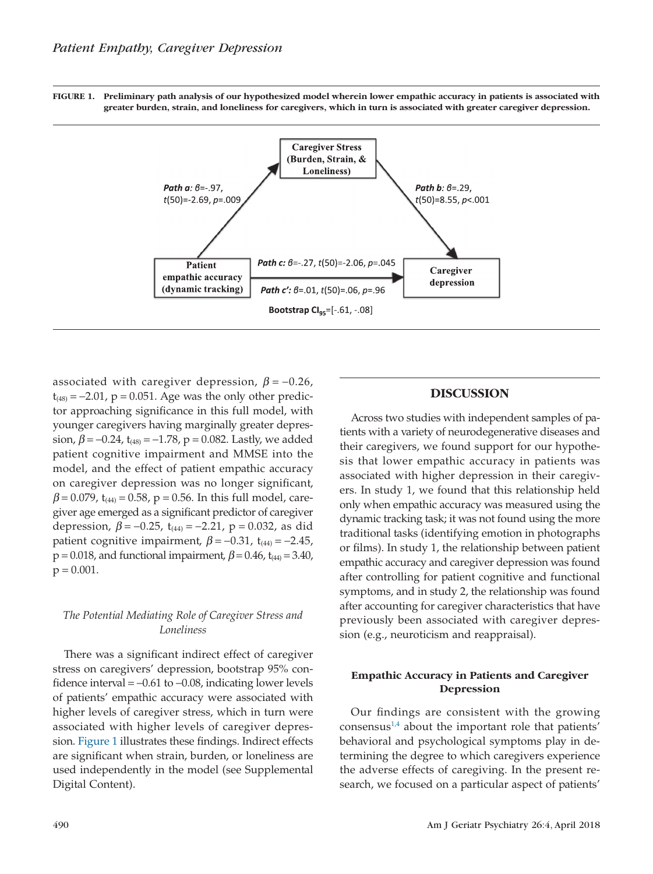**FIGURE 1. Preliminary path analysis of our hypothesized model wherein lower empathic accuracy in patients is associated with greater burden, strain, and loneliness for caregivers, which in turn is associated with greater caregiver depression.**



associated with caregiver depression,  $\beta$  = -0.26,  $t_{(48)} = -2.01$ , p = 0.051. Age was the only other predictor approaching significance in this full model, with younger caregivers having marginally greater depression,  $\beta$  = −0.24, t<sub>(48)</sub> = −1.78, p = 0.082. Lastly, we added patient cognitive impairment and MMSE into the model, and the effect of patient empathic accuracy on caregiver depression was no longer significant,  $\beta$  = 0.079, t<sub>(44)</sub> = 0.58, p = 0.56. In this full model, caregiver age emerged as a significant predictor of caregiver depression,  $\beta$  = −0.25, t<sub>(44)</sub> = −2.21, p = 0.032, as did patient cognitive impairment,  $\beta$  = −0.31, t<sub>(44)</sub> = −2.45,  $p = 0.018$ , and functional impairment,  $\beta = 0.46$ , t<sub>(44)</sub> = 3.40,  $p = 0.001$ .

# *The Potential Mediating Role of Caregiver Stress and Loneliness*

There was a significant indirect effect of caregiver stress on caregivers' depression, bootstrap 95% confidence interval =  $-0.61$  to  $-0.08$ , indicating lower levels of patients' empathic accuracy were associated with higher levels of caregiver stress, which in turn were associated with higher levels of caregiver depression. Figure 1 illustrates these findings. Indirect effects are significant when strain, burden, or loneliness are used independently in the model (see Supplemental Digital Content).

# **DISCUSSION**

Across two studies with independent samples of patients with a variety of neurodegenerative diseases and their caregivers, we found support for our hypothesis that lower empathic accuracy in patients was associated with higher depression in their caregivers. In study 1, we found that this relationship held only when empathic accuracy was measured using the dynamic tracking task; it was not found using the more traditional tasks (identifying emotion in photographs or films). In study 1, the relationship between patient empathic accuracy and caregiver depression was found after controlling for patient cognitive and functional symptoms, and in study 2, the relationship was found after accounting for caregiver characteristics that have previously been associated with caregiver depression (e.g., neuroticism and reappraisal).

# **Empathic Accuracy in Patients and Caregiver Depression**

Our findings are consistent with the growing consensus $1/4$  about the important role that patients' behavioral and psychological symptoms play in determining the degree to which caregivers experience the adverse effects of caregiving. In the present research, we focused on a particular aspect of patients'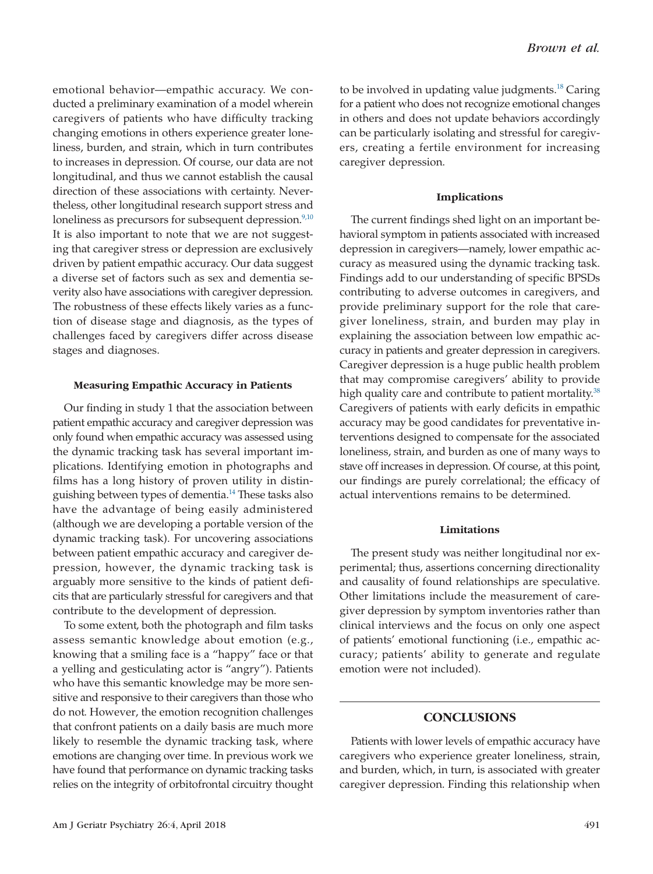emotional behavior—empathic accuracy. We conducted a preliminary examination of a model wherein caregivers of patients who have difficulty tracking changing emotions in others experience greater loneliness, burden, and strain, which in turn contributes to increases in depression. Of course, our data are not longitudinal, and thus we cannot establish the causal direction of these associations with certainty. Nevertheless, other longitudinal research support stress and loneliness as precursors for subsequent depression.<sup>9,10</sup> It is also important to note that we are not suggesting that caregiver stress or depression are exclusively driven by patient empathic accuracy. Our data suggest a diverse set of factors such as sex and dementia severity also have associations with caregiver depression. The robustness of these effects likely varies as a function of disease stage and diagnosis, as the types of challenges faced by caregivers differ across disease stages and diagnoses.

# **Measuring Empathic Accuracy in Patients**

Our finding in study 1 that the association between patient empathic accuracy and caregiver depression was only found when empathic accuracy was assessed using the dynamic tracking task has several important implications. Identifying emotion in photographs and films has a long history of proven utility in distinguishing between types of dementia[.14](#page-8-11) These tasks also have the advantage of being easily administered (although we are developing a portable version of the dynamic tracking task). For uncovering associations between patient empathic accuracy and caregiver depression, however, the dynamic tracking task is arguably more sensitive to the kinds of patient deficits that are particularly stressful for caregivers and that contribute to the development of depression.

To some extent, both the photograph and film tasks assess semantic knowledge about emotion (e.g., knowing that a smiling face is a "happy" face or that a yelling and gesticulating actor is "angry"). Patients who have this semantic knowledge may be more sensitive and responsive to their caregivers than those who do not. However, the emotion recognition challenges that confront patients on a daily basis are much more likely to resemble the dynamic tracking task, where emotions are changing over time. In previous work we have found that performance on dynamic tracking tasks relies on the integrity of orbitofrontal circuitry thought to be involved in updating value judgments.<sup>18</sup> Caring for a patient who does not recognize emotional changes in others and does not update behaviors accordingly can be particularly isolating and stressful for caregivers, creating a fertile environment for increasing caregiver depression.

#### **Implications**

The current findings shed light on an important behavioral symptom in patients associated with increased depression in caregivers—namely, lower empathic accuracy as measured using the dynamic tracking task. Findings add to our understanding of specific BPSDs contributing to adverse outcomes in caregivers, and provide preliminary support for the role that caregiver loneliness, strain, and burden may play in explaining the association between low empathic accuracy in patients and greater depression in caregivers. Caregiver depression is a huge public health problem that may compromise caregivers' ability to provide high quality care and contribute to patient mortality.<sup>38</sup> Caregivers of patients with early deficits in empathic accuracy may be good candidates for preventative interventions designed to compensate for the associated loneliness, strain, and burden as one of many ways to stave off increases in depression. Of course, at this point, our findings are purely correlational; the efficacy of actual interventions remains to be determined.

#### **Limitations**

The present study was neither longitudinal nor experimental; thus, assertions concerning directionality and causality of found relationships are speculative. Other limitations include the measurement of caregiver depression by symptom inventories rather than clinical interviews and the focus on only one aspect of patients' emotional functioning (i.e., empathic accuracy; patients' ability to generate and regulate emotion were not included).

# **CONCLUSIONS**

Patients with lower levels of empathic accuracy have caregivers who experience greater loneliness, strain, and burden, which, in turn, is associated with greater caregiver depression. Finding this relationship when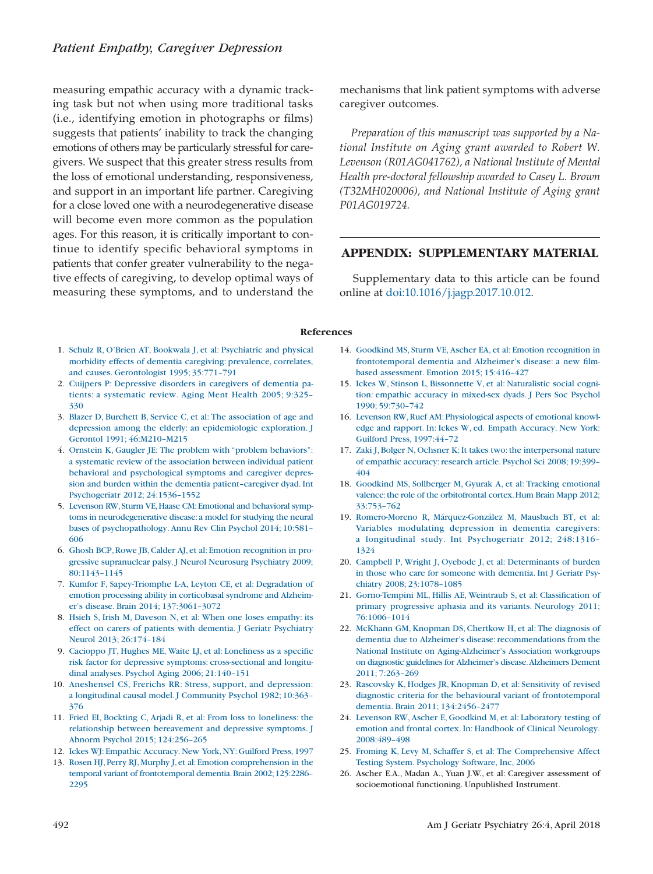measuring empathic accuracy with a dynamic tracking task but not when using more traditional tasks (i.e., identifying emotion in photographs or films) suggests that patients' inability to track the changing emotions of others may be particularly stressful for caregivers. We suspect that this greater stress results from the loss of emotional understanding, responsiveness, and support in an important life partner. Caregiving for a close loved one with a neurodegenerative disease will become even more common as the population ages. For this reason, it is critically important to continue to identify specific behavioral symptoms in patients that confer greater vulnerability to the negative effects of caregiving, to develop optimal ways of measuring these symptoms, and to understand the

mechanisms that link patient symptoms with adverse caregiver outcomes.

*Preparation of this manuscript was supported by a National Institute on Aging grant awarded to Robert W. Levenson (R01AG041762), a National Institute of Mental Health pre-doctoral fellowship awarded to Casey L. Brown (T32MH020006), and National Institute of Aging grant P01AG019724.*

# **APPENDIX: SUPPLEMENTARY MATERIAL**

Supplementary data to this article can be found online at [doi:10.1016/j.jagp.2017.10.012.](https://doi.org/10.1016/j.jagp.2017.10.012)

#### **References**

- <span id="page-8-0"></span>1. [Schulz R, O'Brien AT, Bookwala J, et al: Psychiatric and physical](http://refhub.elsevier.com/S1064-7481(17)30516-X/sr0010) [morbidity effects of dementia caregiving: prevalence, correlates,](http://refhub.elsevier.com/S1064-7481(17)30516-X/sr0010) [and causes. Gerontologist 1995; 35:771–791](http://refhub.elsevier.com/S1064-7481(17)30516-X/sr0010)
- <span id="page-8-1"></span>2. [Cuijpers P: Depressive disorders in caregivers of dementia pa](http://refhub.elsevier.com/S1064-7481(17)30516-X/sr0015)[tients: a systematic review. Aging Ment Health 2005; 9:325–](http://refhub.elsevier.com/S1064-7481(17)30516-X/sr0015) [330](http://refhub.elsevier.com/S1064-7481(17)30516-X/sr0015)
- <span id="page-8-2"></span>3. [Blazer D, Burchett B, Service C, et al: The association of age and](http://refhub.elsevier.com/S1064-7481(17)30516-X/sr0020) [depression among the elderly: an epidemiologic exploration. J](http://refhub.elsevier.com/S1064-7481(17)30516-X/sr0020) [Gerontol 1991; 46:M210–M215](http://refhub.elsevier.com/S1064-7481(17)30516-X/sr0020)
- <span id="page-8-3"></span>4. [Ornstein K, Gaugler JE: The problem with "problem behaviors":](http://refhub.elsevier.com/S1064-7481(17)30516-X/sr0025) [a systematic review of the association between individual patient](http://refhub.elsevier.com/S1064-7481(17)30516-X/sr0025) [behavioral and psychological symptoms and caregiver depres](http://refhub.elsevier.com/S1064-7481(17)30516-X/sr0025)[sion and burden within the dementia patient–caregiver dyad. Int](http://refhub.elsevier.com/S1064-7481(17)30516-X/sr0025) [Psychogeriatr 2012; 24:1536–1552](http://refhub.elsevier.com/S1064-7481(17)30516-X/sr0025)
- <span id="page-8-4"></span>5. [Levenson RW,Sturm VE,Haase CM:Emotional and behavioral symp](http://refhub.elsevier.com/S1064-7481(17)30516-X/sr0030)[toms in neurodegenerative disease:a model for studying the neural](http://refhub.elsevier.com/S1064-7481(17)30516-X/sr0030) [bases of psychopathology. Annu Rev Clin Psychol 2014; 10:581–](http://refhub.elsevier.com/S1064-7481(17)30516-X/sr0030) [606](http://refhub.elsevier.com/S1064-7481(17)30516-X/sr0030)
- <span id="page-8-5"></span>6. [Ghosh BCP, Rowe JB, Calder AJ, et al: Emotion recognition in pro](http://refhub.elsevier.com/S1064-7481(17)30516-X/sr0035)[gressive supranuclear palsy. J Neurol Neurosurg Psychiatry 2009;](http://refhub.elsevier.com/S1064-7481(17)30516-X/sr0035) [80:1143–1145](http://refhub.elsevier.com/S1064-7481(17)30516-X/sr0035)
- <span id="page-8-6"></span>7. [Kumfor F, Sapey-Triomphe L-A, Leyton CE, et al: Degradation of](http://refhub.elsevier.com/S1064-7481(17)30516-X/sr0040) [emotion processing ability in corticobasal syndrome and Alzheim](http://refhub.elsevier.com/S1064-7481(17)30516-X/sr0040)[er's disease. Brain 2014; 137:3061–3072](http://refhub.elsevier.com/S1064-7481(17)30516-X/sr0040)
- <span id="page-8-7"></span>8. [Hsieh S, Irish M, Daveson N, et al: When one loses empathy: its](http://refhub.elsevier.com/S1064-7481(17)30516-X/sr0045) [effect on carers of patients with dementia. J Geriatr Psychiatry](http://refhub.elsevier.com/S1064-7481(17)30516-X/sr0045) [Neurol 2013; 26:174–184](http://refhub.elsevier.com/S1064-7481(17)30516-X/sr0045)
- <span id="page-8-8"></span>9. [Cacioppo JT, Hughes ME, Waite LJ, et al: Loneliness as a specific](http://refhub.elsevier.com/S1064-7481(17)30516-X/sr0050) [risk factor for depressive symptoms: cross-sectional and longitu](http://refhub.elsevier.com/S1064-7481(17)30516-X/sr0050)[dinal analyses. Psychol Aging 2006; 21:140–151](http://refhub.elsevier.com/S1064-7481(17)30516-X/sr0050)
- 10. [Aneshensel CS, Frerichs RR: Stress, support, and depression:](http://refhub.elsevier.com/S1064-7481(17)30516-X/sr0055) [a longitudinal causal model. J Community Psychol 1982; 10:363–](http://refhub.elsevier.com/S1064-7481(17)30516-X/sr0055) [376](http://refhub.elsevier.com/S1064-7481(17)30516-X/sr0055)
- 11. [Fried EI, Bockting C, Arjadi R, et al: From loss to loneliness: the](http://refhub.elsevier.com/S1064-7481(17)30516-X/sr0060) [relationship between bereavement and depressive symptoms. J](http://refhub.elsevier.com/S1064-7481(17)30516-X/sr0060) [Abnorm Psychol 2015; 124:256–265](http://refhub.elsevier.com/S1064-7481(17)30516-X/sr0060)
- <span id="page-8-10"></span><span id="page-8-9"></span>12. [Ickes WJ: Empathic Accuracy. New York, NY: Guilford Press, 1997](http://refhub.elsevier.com/S1064-7481(17)30516-X/sr0065)
- 13. Rosen HJ, Perry RJ, Murphy J, et al: Emotion comprehension in the [temporal variant of frontotemporal dementia.Brain 2002;125:2286–](http://refhub.elsevier.com/S1064-7481(17)30516-X/sr0070) [2295](http://refhub.elsevier.com/S1064-7481(17)30516-X/sr0070)
- <span id="page-8-11"></span>14. [Goodkind MS, Sturm VE, Ascher EA, et al: Emotion recognition in](http://refhub.elsevier.com/S1064-7481(17)30516-X/sr0075) [frontotemporal dementia and Alzheimer's disease: a new film](http://refhub.elsevier.com/S1064-7481(17)30516-X/sr0075)[based assessment. Emotion 2015; 15:416–427](http://refhub.elsevier.com/S1064-7481(17)30516-X/sr0075)
- <span id="page-8-12"></span>15. [Ickes W, Stinson L, Bissonnette V, et al: Naturalistic social cogni](http://refhub.elsevier.com/S1064-7481(17)30516-X/sr0080)[tion: empathic accuracy in mixed-sex dyads. J Pers Soc Psychol](http://refhub.elsevier.com/S1064-7481(17)30516-X/sr0080) [1990; 59:730–742](http://refhub.elsevier.com/S1064-7481(17)30516-X/sr0080)
- 16. [Levenson RW,Ruef AM:Physiological aspects of emotional knowl](http://refhub.elsevier.com/S1064-7481(17)30516-X/sr0085)[edge and rapport. In: Ickes W, ed. Empath Accuracy. New York:](http://refhub.elsevier.com/S1064-7481(17)30516-X/sr0085) [Guilford Press, 1997:44–72](http://refhub.elsevier.com/S1064-7481(17)30516-X/sr0085)
- 17. [Zaki J, Bolger N, Ochsner K: It takes two: the interpersonal nature](http://refhub.elsevier.com/S1064-7481(17)30516-X/sr0090) [of empathic accuracy: research article. Psychol Sci 2008; 19:399–](http://refhub.elsevier.com/S1064-7481(17)30516-X/sr0090) [404](http://refhub.elsevier.com/S1064-7481(17)30516-X/sr0090)
- <span id="page-8-13"></span>18. [Goodkind MS, Sollberger M, Gyurak A, et al: Tracking emotional](http://refhub.elsevier.com/S1064-7481(17)30516-X/sr0095) [valence:the role of the orbitofrontal cortex.Hum Brain Mapp 2012;](http://refhub.elsevier.com/S1064-7481(17)30516-X/sr0095) [33:753–762](http://refhub.elsevier.com/S1064-7481(17)30516-X/sr0095)
- <span id="page-8-14"></span>19. [Romero-Moreno R, Márquez-González M, Mausbach BT, et al:](http://refhub.elsevier.com/S1064-7481(17)30516-X/sr0100) [Variables modulating depression in dementia caregivers:](http://refhub.elsevier.com/S1064-7481(17)30516-X/sr0100) [a longitudinal study. Int Psychogeriatr 2012; 248:1316–](http://refhub.elsevier.com/S1064-7481(17)30516-X/sr0100) [1324](http://refhub.elsevier.com/S1064-7481(17)30516-X/sr0100)
- 20. [Campbell P, Wright J, Oyebode J, et al: Determinants of burden](http://refhub.elsevier.com/S1064-7481(17)30516-X/sr0105) [in those who care for someone with dementia. Int J Geriatr Psy](http://refhub.elsevier.com/S1064-7481(17)30516-X/sr0105)[chiatry 2008; 23:1078–1085](http://refhub.elsevier.com/S1064-7481(17)30516-X/sr0105)
- <span id="page-8-15"></span>21. [Gorno-Tempini ML, Hillis AE, Weintraub S, et al: Classification of](http://refhub.elsevier.com/S1064-7481(17)30516-X/sr0110) [primary progressive aphasia and its variants. Neurology 2011;](http://refhub.elsevier.com/S1064-7481(17)30516-X/sr0110) [76:1006–1014](http://refhub.elsevier.com/S1064-7481(17)30516-X/sr0110)
- 22. [McKhann GM, Knopman DS, Chertkow H, et al: The diagnosis of](http://refhub.elsevier.com/S1064-7481(17)30516-X/sr0115) [dementia due to Alzheimer's disease: recommendations from the](http://refhub.elsevier.com/S1064-7481(17)30516-X/sr0115) [National Institute on Aging-Alzheimer's Association workgroups](http://refhub.elsevier.com/S1064-7481(17)30516-X/sr0115) [on diagnostic guidelines for Alzheimer's disease.Alzheimers Dement](http://refhub.elsevier.com/S1064-7481(17)30516-X/sr0115) [2011; 7:263–269](http://refhub.elsevier.com/S1064-7481(17)30516-X/sr0115)
- 23. [Rascovsky K, Hodges JR, Knopman D, et al: Sensitivity of revised](http://refhub.elsevier.com/S1064-7481(17)30516-X/sr0120) [diagnostic criteria for the behavioural variant of frontotemporal](http://refhub.elsevier.com/S1064-7481(17)30516-X/sr0120) [dementia. Brain 2011; 134:2456–2477](http://refhub.elsevier.com/S1064-7481(17)30516-X/sr0120)
- <span id="page-8-16"></span>24. [Levenson RW, Ascher E, Goodkind M, et al: Laboratory testing of](http://refhub.elsevier.com/S1064-7481(17)30516-X/sr0125) [emotion and frontal cortex. In: Handbook of Clinical Neurology.](http://refhub.elsevier.com/S1064-7481(17)30516-X/sr0125) [2008:489–498](http://refhub.elsevier.com/S1064-7481(17)30516-X/sr0125)
- <span id="page-8-17"></span>25. [Froming K, Levy M, Schaffer S, et al: The Comprehensive Affect](http://refhub.elsevier.com/S1064-7481(17)30516-X/sr0130) [Testing System. Psychology Software, Inc, 2006](http://refhub.elsevier.com/S1064-7481(17)30516-X/sr0130)
- <span id="page-8-18"></span>26. Ascher E.A., Madan A., Yuan J.W., et al: Caregiver assessment of socioemotional functioning. Unpublished Instrument.